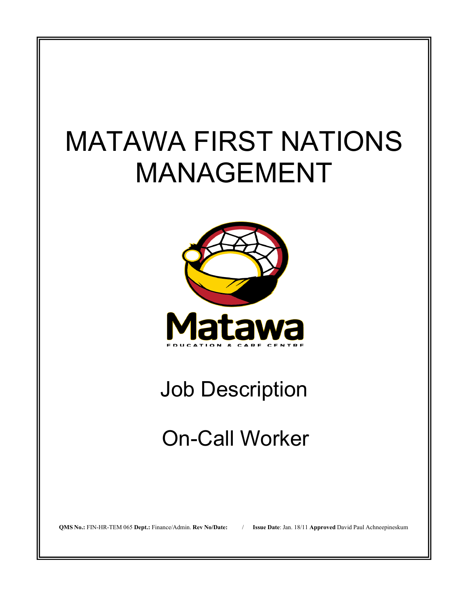# MATAWA FIRST NATIONS MANAGEMENT



## Job Description

## On-Call Worker

**QMS No.:** FIN-HR-TEM 065 **Dept.:** Finance/Admin. **Rev No/Date:** / **Issue Date**: Jan. 18/11 **Approved** David Paul Achneepineskum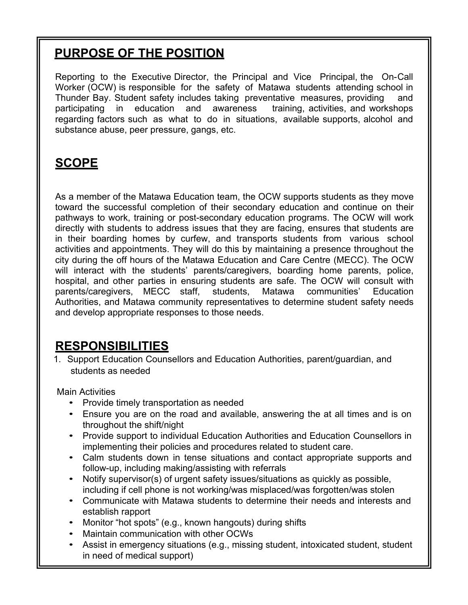## **PURPOSE OF THE POSITION**

Reporting to the Executive Director, the Principal and Vice Principal, the On-Call Worker (OCW) is responsible for the safety of Matawa students attending school in Thunder Bay. Student safety includes taking preventative measures, providing and participating in education and awareness training, activities, and workshops regarding factors such as what to do in situations, available supports, alcohol and substance abuse, peer pressure, gangs, etc.

## **SCOPE**

As a member of the Matawa Education team, the OCW supports students as they move toward the successful completion of their secondary education and continue on their pathways to work, training or post-secondary education programs. The OCW will work directly with students to address issues that they are facing, ensures that students are in their boarding homes by curfew, and transports students from various school activities and appointments. They will do this by maintaining a presence throughout the city during the off hours of the Matawa Education and Care Centre (MECC). The OCW will interact with the students' parents/caregivers, boarding home parents, police, hospital, and other parties in ensuring students are safe. The OCW will consult with parents/caregivers, MECC staff, students, Matawa communities' Education Authorities, and Matawa community representatives to determine student safety needs and develop appropriate responses to those needs.

### **RESPONSIBILITIES**

1. Support Education Counsellors and Education Authorities, parent/guardian, and students as needed

Main Activities

- Provide timely transportation as needed
- Ensure you are on the road and available, answering the at all times and is on throughout the shift/night
- Provide support to individual Education Authorities and Education Counsellors in implementing their policies and procedures related to student care.
- Calm students down in tense situations and contact appropriate supports and follow-up, including making/assisting with referrals
- Notify supervisor(s) of urgent safety issues/situations as quickly as possible, including if cell phone is not working/was misplaced/was forgotten/was stolen
- Communicate with Matawa students to determine their needs and interests and establish rapport
- Monitor "hot spots" (e.g., known hangouts) during shifts
- Maintain communication with other OCWs
- Assist in emergency situations (e.g., missing student, intoxicated student, student in need of medical support)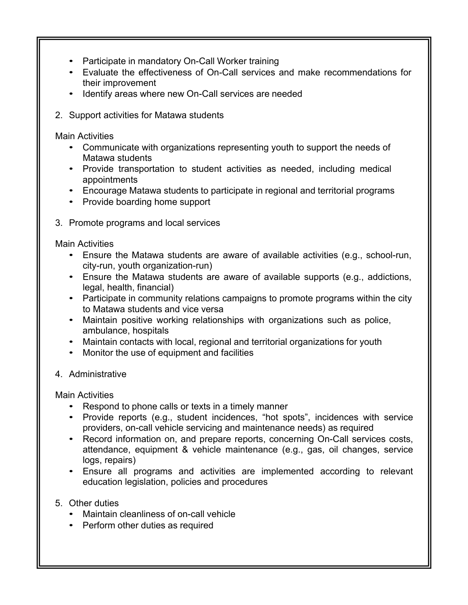- Participate in mandatory On-Call Worker training
- Evaluate the effectiveness of On-Call services and make recommendations for their improvement
- Identify areas where new On-Call services are needed
- 2. Support activities for Matawa students

Main Activities

- Communicate with organizations representing youth to support the needs of Matawa students
- Provide transportation to student activities as needed, including medical appointments
- Encourage Matawa students to participate in regional and territorial programs
- Provide boarding home support
- 3. Promote programs and local services

Main Activities

- Ensure the Matawa students are aware of available activities (e.g., school-run, city-run, youth organization-run)
- Ensure the Matawa students are aware of available supports (e.g., addictions, legal, health, financial)
- Participate in community relations campaigns to promote programs within the city to Matawa students and vice versa
- Maintain positive working relationships with organizations such as police, ambulance, hospitals
- Maintain contacts with local, regional and territorial organizations for youth
- Monitor the use of equipment and facilities
- 4. Administrative

Main Activities

- Respond to phone calls or texts in a timely manner
- Provide reports (e.g., student incidences, "hot spots", incidences with service providers, on-call vehicle servicing and maintenance needs) as required
- Record information on, and prepare reports, concerning On-Call services costs, attendance, equipment & vehicle maintenance (e.g., gas, oil changes, service logs, repairs)
- Ensure all programs and activities are implemented according to relevant education legislation, policies and procedures
- 5. Other duties
	- Maintain cleanliness of on-call vehicle
	- Perform other duties as required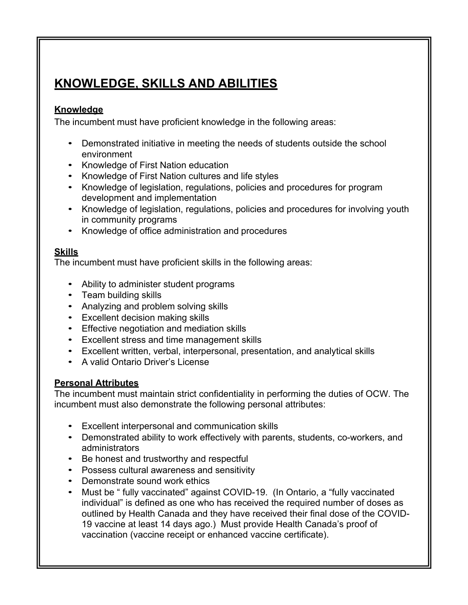## **KNOWLEDGE, SKILLS AND ABILITIES**

#### **Knowledge**

The incumbent must have proficient knowledge in the following areas:

- Demonstrated initiative in meeting the needs of students outside the school environment
- Knowledge of First Nation education
- Knowledge of First Nation cultures and life styles
- Knowledge of legislation, regulations, policies and procedures for program development and implementation
- Knowledge of legislation, regulations, policies and procedures for involving youth in community programs
- Knowledge of office administration and procedures

#### **Skills**

The incumbent must have proficient skills in the following areas:

- Ability to administer student programs
- Team building skills
- Analyzing and problem solving skills
- Excellent decision making skills
- Effective negotiation and mediation skills
- Excellent stress and time management skills
- Excellent written, verbal, interpersonal, presentation, and analytical skills
- A valid Ontario Driver's License

#### **Personal Attributes**

The incumbent must maintain strict confidentiality in performing the duties of OCW. The incumbent must also demonstrate the following personal attributes:

- Excellent interpersonal and communication skills
- Demonstrated ability to work effectively with parents, students, co-workers, and administrators
- Be honest and trustworthy and respectful
- Possess cultural awareness and sensitivity
- Demonstrate sound work ethics
- Must be " fully vaccinated" against COVID-19. (In Ontario, a "fully vaccinated individual" is defined as one who has received the required number of doses as outlined by Health Canada and they have received their final dose of the COVID-19 vaccine at least 14 days ago.) Must provide Health Canada's proof of vaccination (vaccine receipt or enhanced vaccine certificate).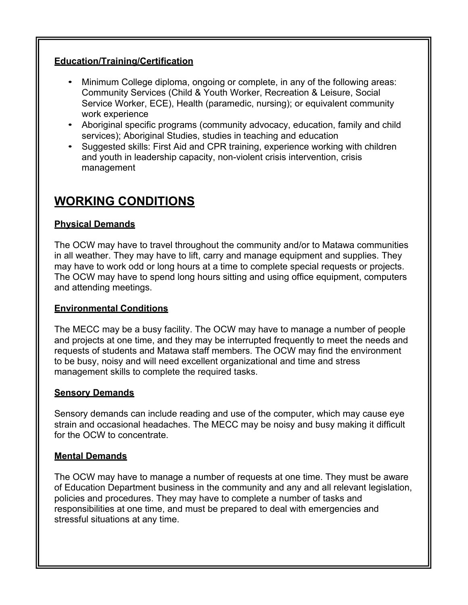#### **Education/Training/Certification**

- Minimum College diploma, ongoing or complete, in any of the following areas: Community Services (Child & Youth Worker, Recreation & Leisure, Social Service Worker, ECE), Health (paramedic, nursing); or equivalent community work experience
- Aboriginal specific programs (community advocacy, education, family and child services); Aboriginal Studies, studies in teaching and education
- Suggested skills: First Aid and CPR training, experience working with children and youth in leadership capacity, non-violent crisis intervention, crisis management

### **WORKING CONDITIONS**

#### **Physical Demands**

The OCW may have to travel throughout the community and/or to Matawa communities in all weather. They may have to lift, carry and manage equipment and supplies. They may have to work odd or long hours at a time to complete special requests or projects. The OCW may have to spend long hours sitting and using office equipment, computers and attending meetings.

#### **Environmental Conditions**

The MECC may be a busy facility. The OCW may have to manage a number of people and projects at one time, and they may be interrupted frequently to meet the needs and requests of students and Matawa staff members. The OCW may find the environment to be busy, noisy and will need excellent organizational and time and stress management skills to complete the required tasks.

#### **Sensory Demands**

Sensory demands can include reading and use of the computer, which may cause eye strain and occasional headaches. The MECC may be noisy and busy making it difficult for the OCW to concentrate.

#### **Mental Demands**

The OCW may have to manage a number of requests at one time. They must be aware of Education Department business in the community and any and all relevant legislation, policies and procedures. They may have to complete a number of tasks and responsibilities at one time, and must be prepared to deal with emergencies and stressful situations at any time.